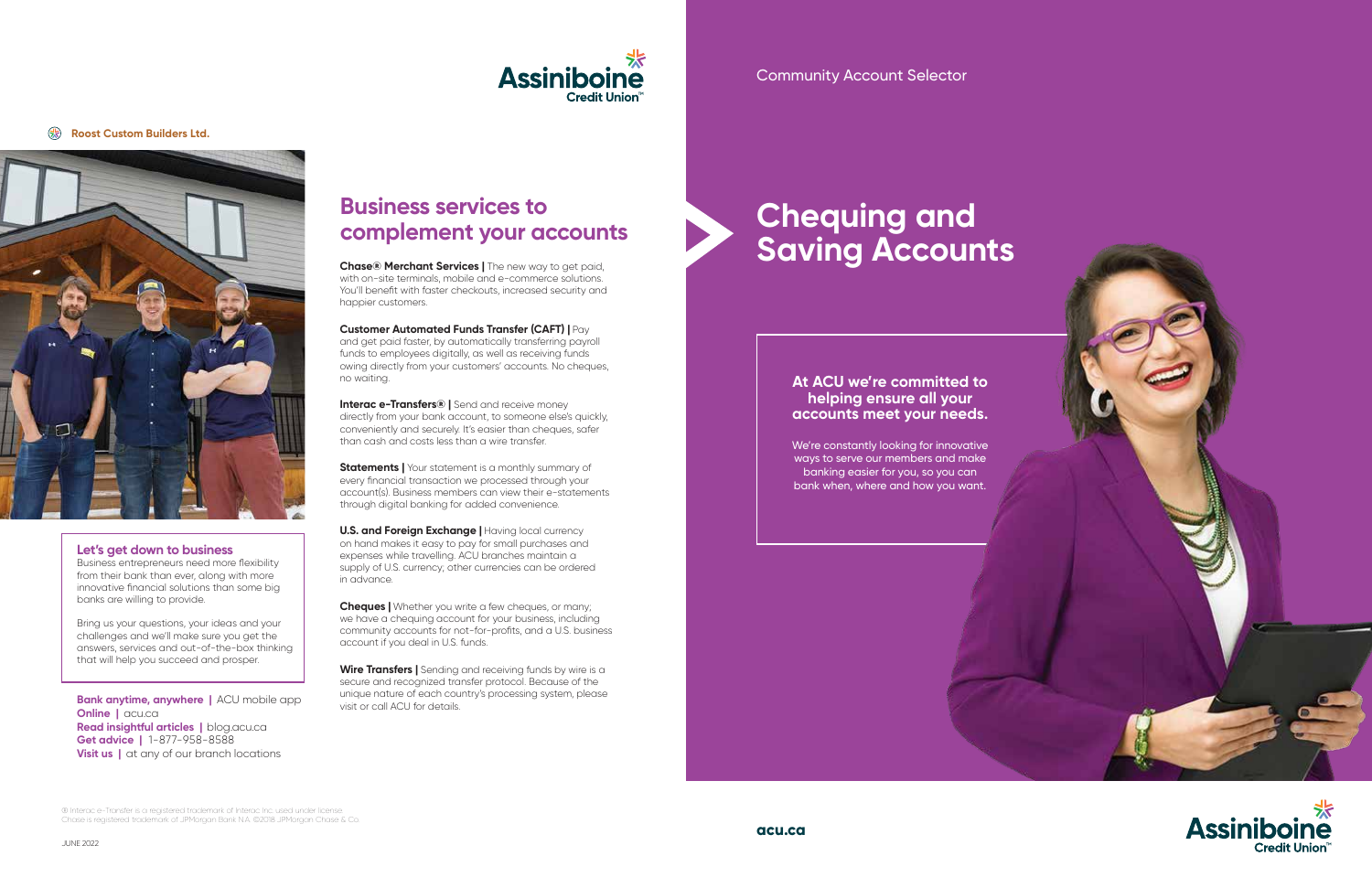#### **Let's get down to business**

Business entrepreneurs need more flexibility from their bank than ever, along with more innovative financial solutions than some big banks are willing to provide.

Bring us your questions, your ideas and your challenges and we'll make sure you get the answers, services and out-of-the-box thinking that will help you succeed and prosper.

**Bank anytime, anywhere** | ACU mobile app **Online | acu.ca Read insightful articles |** blog.acu.ca **Get advice |** 1-877-958-8588 **Visit us** | at any of our branch locations

**Chase® Merchant Services | The new way to get paid,** with on-site terminals, mobile and e-commerce solutions. You'll benefit with faster checkouts, increased security and happier customers.

# **Chequing and Saving Accounts**



#### **Roost Custom Builders Ltd.**







### **At ACU we're committed to helping ensure all your accounts meet your needs.**

**Interac e-Transfers®** | Send and receive money directly from your bank account, to someone else's quickly, conveniently and securely. It's easier than cheques, safer than cash and costs less than a wire transfer.

We're constantly looking for innovative ways to serve our members and make banking easier for you, so you can bank when, where and how you want.

**Statements | Your statement is a monthly summary of** every financial transaction we processed through your account(s). Business members can view their e-statements through digital banking for added convenience.

**U.S. and Foreign Exchange | Having local currency** on hand makes it easy to pay for small purchases and expenses while travelling. ACU branches maintain a supply of U.S. currency; other currencies can be ordered in advance.

#### **Customer Automated Funds Transfer (CAFT) |** Pay

**Cheques |** Whether you write a few cheques, or many: we have a chequing account for your business, including community accounts for not-for-profits, and a U.S. business account if you deal in U.S. funds.

and get paid faster, by automatically transferring payroll funds to employees digitally, as well as receiving funds owing directly from your customers' accounts. No cheques, no waiting.

**Wire Transfers |** Sending and receiving funds by wire is a secure and recognized transfer protocol. Because of the unique nature of each country's processing system, please visit or call ACU for details.

## **Business services to complement your accounts**

® Interac e-Transfer is a registered trademark of Interac Inc. used under license. Chase is registered trademark of JPMorgan Bank N.A. ©2018 JPMorgan Chase & Co.